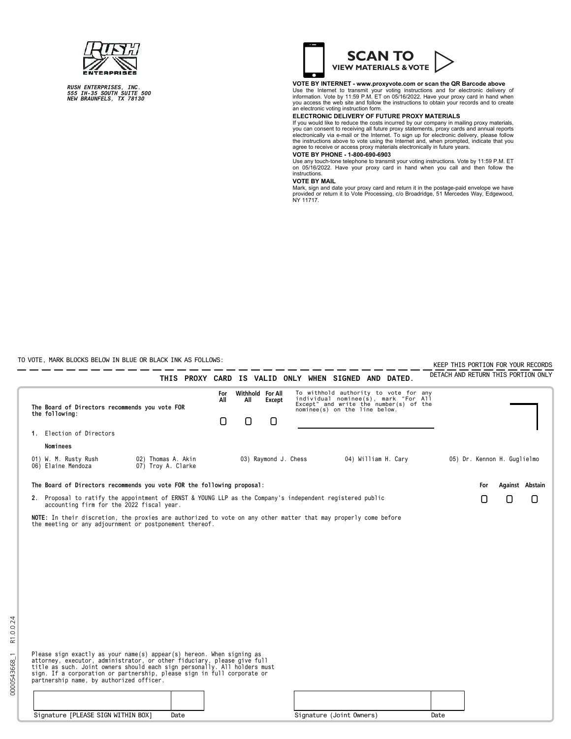*RUSH ENTERPRISES, INC. 555 IH-35 SOUTH SUITE 500 NEW BRAUNFELS, TX 78130*



## **VOTE BY INTERNET - www.proxyvote.com or scan the QR Barcode above**

Use the Internet to transmit your voting instructions and for electronic delivery of<br>information. Vote by 11:59 P.M. ET on 05/16/2022. Have your proxy card in hand when<br>you access the web site and follow the instructions t

## **ELECTRONIC DELIVERY OF FUTURE PROXY MATERIALS**

If you would like to reduce the costs incurred by our company in mailing proxy materials,<br>you can consent to receiving all future proxy statements, proxy cards and annual reports<br>electronically via e-mail or the Internet.

## **VOTE BY PHONE - 1-800-690-6903**

Use any touch-tone telephone to transmit your voting instructions. Vote by 11:59 P.M. ET on 05/16/2022. Have your proxy card in hand when you call and then follow the instructions.

**VOTE BY MAIL**<br>Mark, sign and date your proxy card and return it in the postage-paid envelope we have<br>provided or return it to Vote Processing, c/o Broadridge, 51 Mercedes Way, Edgewood,<br>NY 11717.

TO VOTE, MARK BLOCKS BELOW IN BLUE OR BLACK INK AS FOLLOWS:

0000543668\_1 R1.0.0.24

0000543668\_1

R1.0.0.24

|                                                                                                                                                                                                                                                                                                                                                      |                                                |      |   |                         |        |                      |                                                                                                                                                          |                     |      |     |                             | KEEP THIS PORTION FOR YOUR RECORDS<br>DETACH AND RETURN THIS PORTION ONLY |
|------------------------------------------------------------------------------------------------------------------------------------------------------------------------------------------------------------------------------------------------------------------------------------------------------------------------------------------------------|------------------------------------------------|------|---|-------------------------|--------|----------------------|----------------------------------------------------------------------------------------------------------------------------------------------------------|---------------------|------|-----|-----------------------------|---------------------------------------------------------------------------|
|                                                                                                                                                                                                                                                                                                                                                      |                                                |      |   |                         |        |                      | THIS PROXY CARD IS VALID ONLY WHEN SIGNED AND DATED.                                                                                                     |                     |      |     |                             |                                                                           |
| the following:                                                                                                                                                                                                                                                                                                                                       | The Board of Directors recommends you vote FOR |      |   | Withhold For All<br>All | Except |                      | To withhold authority to vote for any<br>individual nominee(s), mark "For All<br>Except" and write the number(s) of the<br>nominee(s) on the line below. |                     |      |     |                             |                                                                           |
|                                                                                                                                                                                                                                                                                                                                                      |                                                |      | 0 | n                       | 0      |                      |                                                                                                                                                          |                     |      |     |                             |                                                                           |
| 1. Election of Directors                                                                                                                                                                                                                                                                                                                             |                                                |      |   |                         |        |                      |                                                                                                                                                          |                     |      |     |                             |                                                                           |
| Nominees                                                                                                                                                                                                                                                                                                                                             |                                                |      |   |                         |        |                      |                                                                                                                                                          |                     |      |     |                             |                                                                           |
| 01) W. M. Rusty Rush<br>06) Elaine Mendoza                                                                                                                                                                                                                                                                                                           | 02) Thomas A. Akin<br>07) Troy A. Clarke       |      |   |                         |        | 03) Raymond J. Chess |                                                                                                                                                          | 04) William H. Cary |      |     | 05) Dr. Kennon H. Guglielmo |                                                                           |
| The Board of Directors recommends you vote FOR the following proposal:                                                                                                                                                                                                                                                                               |                                                |      |   |                         |        |                      |                                                                                                                                                          |                     |      | For |                             | Against Abstain                                                           |
| 2. Proposal to ratify the appointment of ERNST & YOUNG LLP as the Company's independent registered public<br>accounting firm for the 2022 fiscal year.                                                                                                                                                                                               |                                                |      |   |                         |        |                      |                                                                                                                                                          |                     |      | U   | 0                           | O                                                                         |
| NOTE: In their discretion, the proxies are authorized to vote on any other matter that may properly come before<br>the meeting or any adjournment or postponement thereof.                                                                                                                                                                           |                                                |      |   |                         |        |                      |                                                                                                                                                          |                     |      |     |                             |                                                                           |
| Please sign exactly as your name(s) appear(s) hereon. When signing as<br>attorney, executor, administrator, or other fiduciary, please give full<br>title as such. Joint owners should each sign personally. All holders must<br>sign. If a corporation or partnership, please sign in full corporate or<br>partnership name, by authorized officer. |                                                |      |   |                         |        |                      |                                                                                                                                                          |                     |      |     |                             |                                                                           |
|                                                                                                                                                                                                                                                                                                                                                      |                                                |      |   |                         |        |                      |                                                                                                                                                          |                     |      |     |                             |                                                                           |
| Signature [PLEASE SIGN WITHIN BOX]                                                                                                                                                                                                                                                                                                                   |                                                | Date |   |                         |        |                      | Signature (Joint Owners)                                                                                                                                 |                     | Date |     |                             |                                                                           |